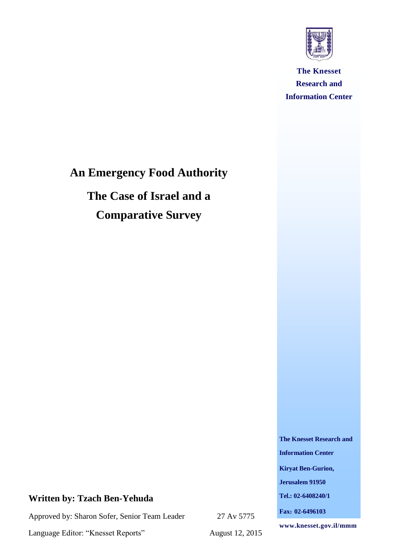

**The Knesset Research and Information Center**

# **An Emergency Food Authority**

**The Case of Israel and a Comparative Survey**

**The Knesset Research and** 

**Information Center**

**Kiryat Ben-Gurion,** 

**Jerusalem 91950**

**Tel.: 02-6408240/1**

**Fax: 02-6496103**

27 Av 5775

Language Editor: "Knesset Reports"

**Written by: Tzach Ben-Yehuda**

Approved by: Sharon Sofer, Senior Team Leader

August 12, 2015

**www.knesset.gov.il/mmm**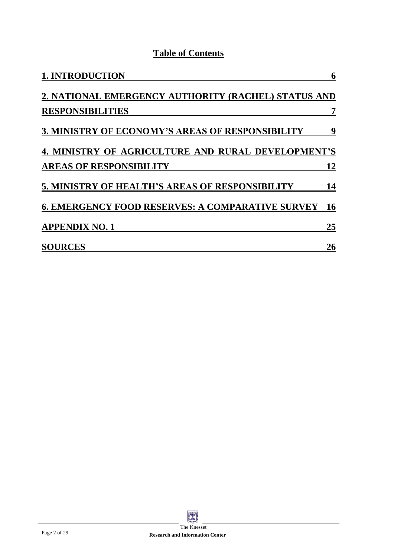## **Table of Contents**

| <b>1. INTRODUCTION</b>                                  | 6         |
|---------------------------------------------------------|-----------|
| 2. NATIONAL EMERGENCY AUTHORITY (RACHEL) STATUS AND     |           |
| <b>RESPONSIBILITIES</b>                                 | 7         |
| <b>3. MINISTRY OF ECONOMY'S AREAS OF RESPONSIBILITY</b> | 9         |
| 4. MINISTRY OF AGRICULTURE AND RURAL DEVELOPMENT'S      |           |
| <b>AREAS OF RESPONSIBILITY</b>                          | <b>12</b> |
| 5. MINISTRY OF HEALTH'S AREAS OF RESPONSIBILITY         | 14        |
| <b>6. EMERGENCY FOOD RESERVES: A COMPARATIVE SURVEY</b> | <b>16</b> |
| <b>APPENDIX NO. 1</b>                                   | 25        |
| <b>SOURCES</b>                                          | 26        |

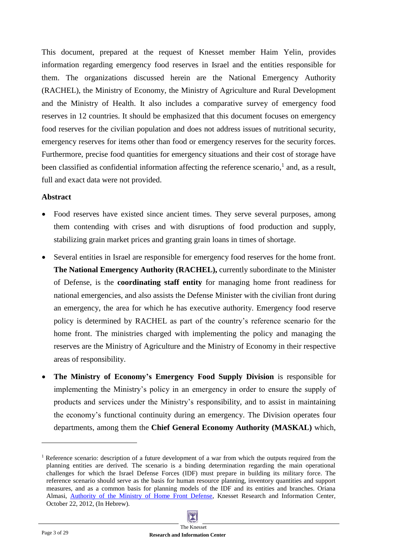This document, prepared at the request of Knesset member Haim Yelin, provides information regarding emergency food reserves in Israel and the entities responsible for them. The organizations discussed herein are the National Emergency Authority (RACHEL), the Ministry of Economy, the Ministry of Agriculture and Rural Development and the Ministry of Health. It also includes a comparative survey of emergency food reserves in 12 countries. It should be emphasized that this document focuses on emergency food reserves for the civilian population and does not address issues of nutritional security, emergency reserves for items other than food or emergency reserves for the security forces. Furthermore, precise food quantities for emergency situations and their cost of storage have been classified as confidential information affecting the reference scenario,<sup>1</sup> and, as a result, full and exact data were not provided.

#### **Abstract**

- Food reserves have existed since ancient times. They serve several purposes, among them contending with crises and with disruptions of food production and supply, stabilizing grain market prices and granting grain loans in times of shortage.
- Several entities in Israel are responsible for emergency food reserves for the home front. **The National Emergency Authority (RACHEL),** currently subordinate to the Minister of Defense, is the **coordinating staff entity** for managing home front readiness for national emergencies, and also assists the Defense Minister with the civilian front during an emergency, the area for which he has executive authority. Emergency food reserve policy is determined by RACHEL as part of the country's reference scenario for the home front. The ministries charged with implementing the policy and managing the reserves are the Ministry of Agriculture and the Ministry of Economy in their respective areas of responsibility.
- **The Ministry of Economy's Emergency Food Supply Division** is responsible for implementing the Ministry's policy in an emergency in order to ensure the supply of products and services under the Ministry's responsibility, and to assist in maintaining the economy's functional continuity during an emergency. The Division operates four departments, among them the **Chief General Economy Authority (MASKAL)** which,

<sup>&</sup>lt;sup>1</sup> Reference scenario: description of a future development of a war from which the outputs required from the planning entities are derived. The scenario is a binding determination regarding the main operational challenges for which the Israel Defense Forces (IDF) must prepare in building its military force. The reference scenario should serve as the basis for human resource planning, inventory quantities and support measures, and as a common basis for planning models of the IDF and its entities and branches. Oriana Almasi, [Authority of the Ministry of Home Front Defense,](http://www.knesset.gov.il/mmm/data/pdf/m03117.pdf) Knesset Research and Information Center, October 22, 2012, (In Hebrew).

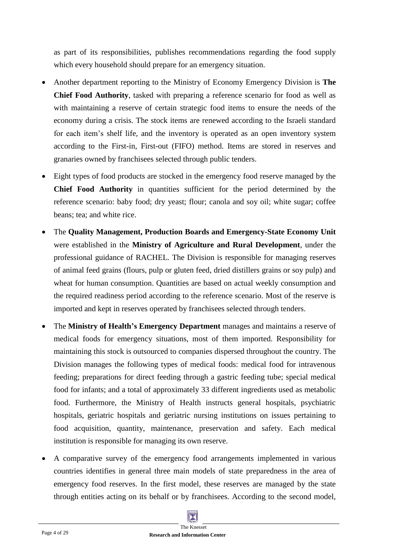as part of its responsibilities, publishes recommendations regarding the food supply which every household should prepare for an emergency situation.

- Another department reporting to the Ministry of Economy Emergency Division is **The Chief Food Authority**, tasked with preparing a reference scenario for food as well as with maintaining a reserve of certain strategic food items to ensure the needs of the economy during a crisis. The stock items are renewed according to the Israeli standard for each item's shelf life, and the inventory is operated as an open inventory system according to the First-in, First-out (FIFO) method. Items are stored in reserves and granaries owned by franchisees selected through public tenders.
- Eight types of food products are stocked in the emergency food reserve managed by the **Chief Food Authority** in quantities sufficient for the period determined by the reference scenario: baby food; dry yeast; flour; canola and soy oil; white sugar; coffee beans; tea; and white rice.
- The **Quality Management, Production Boards and Emergency-State Economy Unit** were established in the **Ministry of Agriculture and Rural Development**, under the professional guidance of RACHEL. The Division is responsible for managing reserves of animal feed grains (flours, pulp or gluten feed, dried distillers grains or soy pulp) and wheat for human consumption. Quantities are based on actual weekly consumption and the required readiness period according to the reference scenario. Most of the reserve is imported and kept in reserves operated by franchisees selected through tenders.
- The **Ministry of Health's Emergency Department** manages and maintains a reserve of medical foods for emergency situations, most of them imported. Responsibility for maintaining this stock is outsourced to companies dispersed throughout the country. The Division manages the following types of medical foods: medical food for intravenous feeding; preparations for direct feeding through a gastric feeding tube; special medical food for infants; and a total of approximately 33 different ingredients used as metabolic food. Furthermore, the Ministry of Health instructs general hospitals, psychiatric hospitals, geriatric hospitals and geriatric nursing institutions on issues pertaining to food acquisition, quantity, maintenance, preservation and safety. Each medical institution is responsible for managing its own reserve.
- A comparative survey of the emergency food arrangements implemented in various countries identifies in general three main models of state preparedness in the area of emergency food reserves. In the first model, these reserves are managed by the state through entities acting on its behalf or by franchisees. According to the second model,

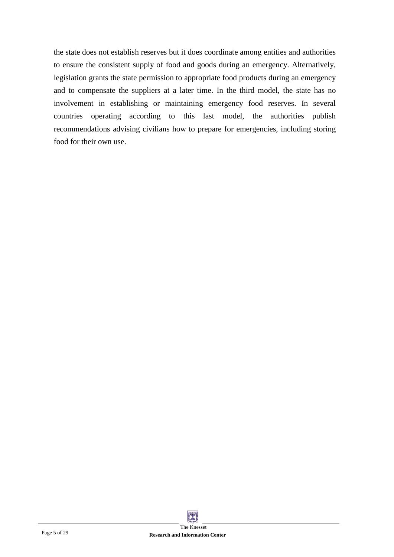the state does not establish reserves but it does coordinate among entities and authorities to ensure the consistent supply of food and goods during an emergency. Alternatively, legislation grants the state permission to appropriate food products during an emergency and to compensate the suppliers at a later time. In the third model, the state has no involvement in establishing or maintaining emergency food reserves. In several countries operating according to this last model, the authorities publish recommendations advising civilians how to prepare for emergencies, including storing food for their own use.



**Research and Information Center**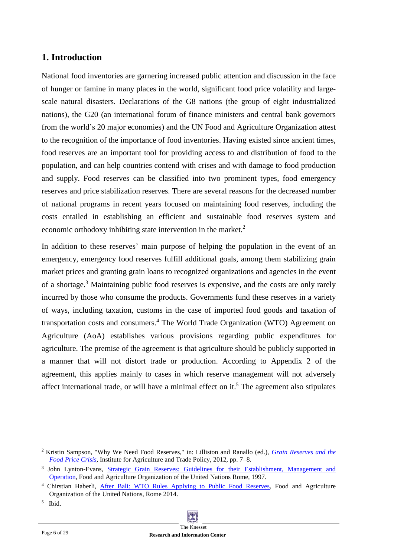## <span id="page-5-0"></span>**1. Introduction**

National food inventories are garnering increased public attention and discussion in the face of hunger or famine in many places in the world, significant food price volatility and largescale natural disasters. Declarations of the G8 nations (the group of eight industrialized nations), the G20 (an international forum of finance ministers and central bank governors from the world's 20 major economies) and the UN Food and Agriculture Organization attest to the recognition of the importance of food inventories. Having existed since ancient times, food reserves are an important tool for providing access to and distribution of food to the population, and can help countries contend with crises and with damage to food production and supply. Food reserves can be classified into two prominent types, food emergency reserves and price stabilization reserves. There are several reasons for the decreased number of national programs in recent years focused on maintaining food reserves, including the costs entailed in establishing an efficient and sustainable food reserves system and economic orthodoxy inhibiting state intervention in the market. $2$ 

In addition to these reserves' main purpose of helping the population in the event of an emergency, emergency food reserves fulfill additional goals, among them stabilizing grain market prices and granting grain loans to recognized organizations and agencies in the event of a shortage.<sup>3</sup> Maintaining public food reserves is expensive, and the costs are only rarely incurred by those who consume the products. Governments fund these reserves in a variety of ways, including taxation, customs in the case of imported food goods and taxation of transportation costs and consumers.<sup>4</sup> The World Trade Organization (WTO) Agreement on Agriculture (AoA) establishes various provisions regarding public expenditures for agriculture. The premise of the agreement is that agriculture should be publicly supported in a manner that will not distort trade or production. According to Appendix 2 of the agreement, this applies mainly to cases in which reserve management will not adversely affect international trade, or will have a minimal effect on it.<sup>5</sup> The agreement also stipulates

<sup>2</sup> Kristin Sampson, "Why We Need Food Reserves," in: Lilliston and Ranallo (ed.), *[Grain Reserves and the](http://www.iatp.org/files/2012_07_13_IATP_GrainReservesReader.pdf)  [Food Price Crisis](http://www.iatp.org/files/2012_07_13_IATP_GrainReservesReader.pdf)*, Institute for Agriculture and Trade Policy, 2012, pp. 7–8.

<sup>&</sup>lt;sup>3</sup> John Lynton-Evans, Strategic Grain Reserves: Guidelines for their Establishment, Management and [Operation,](http://www.fao.org/docrep/w4979e/w4979e00.HTM) Food and Agriculture Organization of the United Nations Rome, 1997.

<sup>4</sup> Chirstian Haberli, [After Bali: WTO Rules Applying to Public Food Reserves,](http://www.fao.org/3/a-i3820e.pdf) Food and Agriculture Organization of the United Nations, Rome 2014.

<sup>5</sup> Ibid.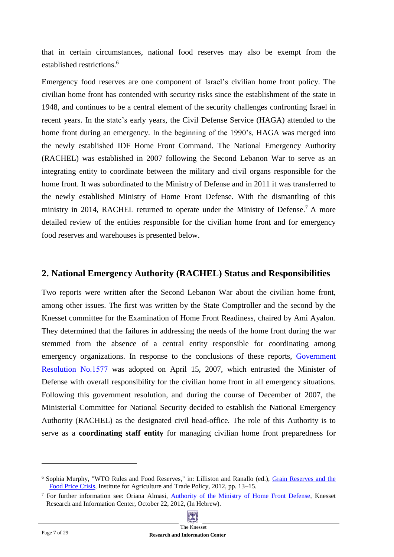that in certain circumstances, national food reserves may also be exempt from the established restrictions. 6

Emergency food reserves are one component of Israel's civilian home front policy. The civilian home front has contended with security risks since the establishment of the state in 1948, and continues to be a central element of the security challenges confronting Israel in recent years. In the state's early years, the Civil Defense Service (HAGA) attended to the home front during an emergency. In the beginning of the 1990's, HAGA was merged into the newly established IDF Home Front Command. The National Emergency Authority (RACHEL) was established in 2007 following the Second Lebanon War to serve as an integrating entity to coordinate between the military and civil organs responsible for the home front. It was subordinated to the Ministry of Defense and in 2011 it was transferred to the newly established Ministry of Home Front Defense. With the dismantling of this ministry in 2014, RACHEL returned to operate under the Ministry of Defense.<sup>7</sup> A more detailed review of the entities responsible for the civilian home front and for emergency food reserves and warehouses is presented below.

## <span id="page-6-0"></span>**2. National Emergency Authority (RACHEL) Status and Responsibilities**

Two reports were written after the Second Lebanon War about the civilian home front, among other issues. The first was written by the State Comptroller and the second by the Knesset committee for the Examination of Home Front Readiness, chaired by Ami Ayalon. They determined that the failures in addressing the needs of the home front during the war stemmed from the absence of a central entity responsible for coordinating among emergency organizations. In response to the conclusions of these reports, Government [Resolution No.1577](http://www.pmo.gov.il/Secretary/GovDecisions/2007/Pages/des1577.aspx) was adopted on April 15, 2007, which entrusted the Minister of Defense with overall responsibility for the civilian home front in all emergency situations. Following this government resolution, and during the course of December of 2007, the Ministerial Committee for National Security decided to establish the National Emergency Authority (RACHEL) as the designated civil head-office. The role of this Authority is to serve as a **coordinating staff entity** for managing civilian home front preparedness for

<sup>7</sup> For further information see: Oriana Almasi, [Authority of the Ministry of Home Front Defense,](http://www.knesset.gov.il/mmm/data/pdf/m03117.pdf) Knesset Research and Information Center, October 22, 2012, (In Hebrew).



<sup>6</sup> Sophia Murphy, "WTO Rules and Food Reserves," in: Lilliston and Ranallo (ed.), [Grain Reserves and the](http://www.iatp.org/files/2012_07_13_IATP_GrainReservesReader.pdf) Food [Price Crisis,](http://www.iatp.org/files/2012_07_13_IATP_GrainReservesReader.pdf) Institute for Agriculture and Trade Policy, 2012, pp. 13–15.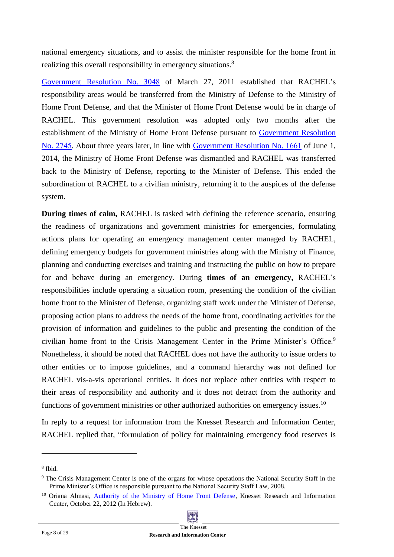national emergency situations, and to assist the minister responsible for the home front in realizing this overall responsibility in emergency situations.<sup>8</sup>

[Government Resolution No. 3048](http://www.pmo.gov.il/Secretary/GovDecisions/2011/Pages/des3048.aspx) of March 27, 2011 established that RACHEL's responsibility areas would be transferred from the Ministry of Defense to the Ministry of Home Front Defense, and that the Minister of Home Front Defense would be in charge of RACHEL. This government resolution was adopted only two months after the establishment of the Ministry of Home Front Defense pursuant to [Government Resolution](http://www.pmo.gov.il/Secretary/GovDecisions/2011/Pages/des2745.aspx)  No. [2745.](http://www.pmo.gov.il/Secretary/GovDecisions/2011/Pages/des2745.aspx) About three years later, in line with [Government Resolution No. 1661](http://www.pmo.gov.il/Secretary/GovDecisions/2014/Pages/dec1661.aspx) of June 1, 2014, the Ministry of Home Front Defense was dismantled and RACHEL was transferred back to the Ministry of Defense, reporting to the Minister of Defense. This ended the subordination of RACHEL to a civilian ministry, returning it to the auspices of the defense system.

**During times of calm,** RACHEL is tasked with defining the reference scenario, ensuring the readiness of organizations and government ministries for emergencies, formulating actions plans for operating an emergency management center managed by RACHEL, defining emergency budgets for government ministries along with the Ministry of Finance, planning and conducting exercises and training and instructing the public on how to prepare for and behave during an emergency. During **times of an emergency,** RACHEL's responsibilities include operating a situation room, presenting the condition of the civilian home front to the Minister of Defense, organizing staff work under the Minister of Defense, proposing action plans to address the needs of the home front, coordinating activities for the provision of information and guidelines to the public and presenting the condition of the civilian home front to the Crisis Management Center in the Prime Minister's Office.<sup>9</sup> Nonetheless, it should be noted that RACHEL does not have the authority to issue orders to other entities or to impose guidelines, and a command hierarchy was not defined for RACHEL vis-a-vis operational entities. It does not replace other entities with respect to their areas of responsibility and authority and it does not detract from the authority and functions of government ministries or other authorized authorities on emergency issues.<sup>10</sup>

In reply to a request for information from the Knesset Research and Information Center, RACHEL replied that, "formulation of policy for maintaining emergency food reserves is

<sup>8</sup> Ibid.

<sup>&</sup>lt;sup>9</sup> The Crisis Management Center is one of the organs for whose operations the National Security Staff in the Prime Minister's Office is responsible pursuant to the National Security Staff Law, 2008.

<sup>&</sup>lt;sup>10</sup> Oriana Almasi, [Authority of the Ministry of Home Front Defense](http://www.knesset.gov.il/mmm/data/pdf/m03117.pdf), Knesset Research and Information Center, October 22, 2012 (In Hebrew).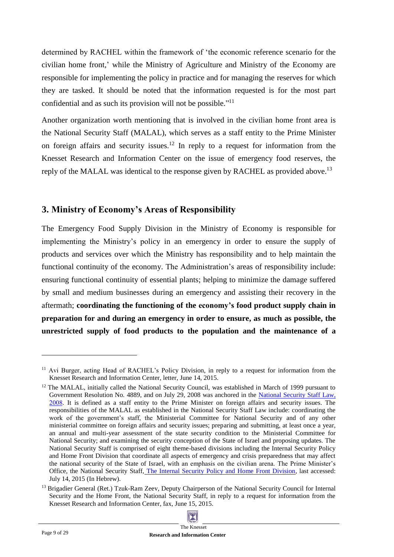determined by RACHEL within the framework of 'the economic reference scenario for the civilian home front,' while the Ministry of Agriculture and Ministry of the Economy are responsible for implementing the policy in practice and for managing the reserves for which they are tasked. It should be noted that the information requested is for the most part confidential and as such its provision will not be possible."<sup>11</sup>

Another organization worth mentioning that is involved in the civilian home front area is the National Security Staff (MALAL), which serves as a staff entity to the Prime Minister on foreign affairs and security issues.<sup>12</sup> In reply to a request for information from the Knesset Research and Information Center on the issue of emergency food reserves, the reply of the MALAL was identical to the response given by RACHEL as provided above.<sup>13</sup>

## <span id="page-8-0"></span>**3. Ministry of Economy's Areas of Responsibility**

The Emergency Food Supply Division in the Ministry of Economy is responsible for implementing the Ministry's policy in an emergency in order to ensure the supply of products and services over which the Ministry has responsibility and to help maintain the functional continuity of the economy. The Administration's areas of responsibility include: ensuring functional continuity of essential plants; helping to minimize the damage suffered by small and medium businesses during an emergency and assisting their recovery in the aftermath; **coordinating the functioning of the economy's food product supply chain in preparation for and during an emergency in order to ensure, as much as possible, the unrestricted supply of food products to the population and the maintenance of a** 

<sup>&</sup>lt;sup>13</sup> Brigadier General (Ret.) Tzuk-Ram Zeev, Deputy Chairperson of the National Security Council for Internal Security and the Home Front, the National Security Staff, in reply to a request for information from the Knesset Research and Information Center, fax, June 15, 2015.



<sup>&</sup>lt;sup>11</sup> Avi Burger, acting Head of RACHEL's Policy Division, in reply to a request for information from the Knesset Research and Information Center, letter, June 14, 2015.

<sup>&</sup>lt;sup>12</sup> The MALAL, initially called the National Security Council, was established in March of 1999 pursuant to Government Resolution No. 4889, and on July 29, 2008 was anchored in the [National Security Staff Law,](http://www.nsc.gov.il/he/Documents/nsclaw.pdf)  [2008.](http://www.nsc.gov.il/he/Documents/nsclaw.pdf) It is defined as a staff entity to the Prime Minister on foreign affairs and security issues. The responsibilities of the MALAL as established in the National Security Staff Law include: coordinating the work of the government's staff, the Ministerial Committee for National Security and of any other ministerial committee on foreign affairs and security issues; preparing and submitting, at least once a year, an annual and multi-year assessment of the state security condition to the Ministerial Committee for National Security; and examining the security conception of the State of Israel and proposing updates. The National Security Staff is comprised of eight theme-based divisions including the Internal Security Policy and Home Front Division that coordinate all aspects of emergency and crisis preparedness that may affect the national security of the State of Israel, with an emphasis on the civilian arena. The Prime Minister's Office, the National Security Staff, [The Internal Security Policy and Home Front Division,](http://www.nsc.gov.il/he/About-the-Staff/Pages/SecurityDivision.aspx) last accessed: July 14, 2015 (In Hebrew).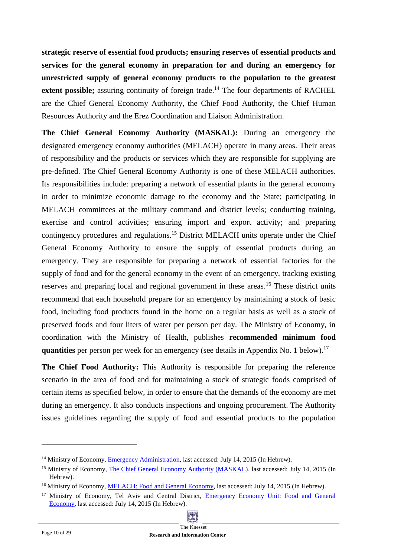**strategic reserve of essential food products; ensuring reserves of essential products and services for the general economy in preparation for and during an emergency for unrestricted supply of general economy products to the population to the greatest**  extent possible; assuring continuity of foreign trade.<sup>14</sup> The four departments of RACHEL are the Chief General Economy Authority, the Chief Food Authority, the Chief Human Resources Authority and the Erez Coordination and Liaison Administration.

**The Chief General Economy Authority (MASKAL):** During an emergency the designated emergency economy authorities (MELACH) operate in many areas. Their areas of responsibility and the products or services which they are responsible for supplying are pre-defined. The Chief General Economy Authority is one of these MELACH authorities. Its responsibilities include: preparing a network of essential plants in the general economy in order to minimize economic damage to the economy and the State; participating in MELACH committees at the military command and district levels; conducting training, exercise and control activities; ensuring import and export activity; and preparing contingency procedures and regulations.<sup>15</sup> District MELACH units operate under the Chief General Economy Authority to ensure the supply of essential products during an emergency. They are responsible for preparing a network of essential factories for the supply of food and for the general economy in the event of an emergency, tracking existing reserves and preparing local and regional government in these areas.<sup>16</sup> These district units recommend that each household prepare for an emergency by maintaining a stock of basic food, including food products found in the home on a regular basis as well as a stock of preserved foods and four liters of water per person per day. The Ministry of Economy, in coordination with the Ministry of Health, publishes **recommended minimum food quantities** per person per week for an emergency (see details in Appendix No. 1 below). 17

**The Chief Food Authority:** This Authority is responsible for preparing the reference scenario in the area of food and for maintaining a stock of strategic foods comprised of certain items as specified below, in order to ensure that the demands of the economy are met during an emergency. It also conducts inspections and ongoing procurement. The Authority issues guidelines regarding the supply of food and essential products to the population

<sup>&</sup>lt;sup>14</sup> Ministry of Economy, **Emergency Administration**, last accessed: July 14, 2015 (In Hebrew).

<sup>&</sup>lt;sup>15</sup> Ministry of Economy, [The Chief General Economy Authority \(MASKAL\),](http://www.economy.gov.il/About/Units/EmergencyDivision/Pages/mashkal.aspx) last accessed: July 14, 2015 (In Hebrew).

<sup>&</sup>lt;sup>16</sup> Ministry of Economy, MELACH: Food and General Economy, last accessed: July 14, 2015 (In Hebrew).

<sup>&</sup>lt;sup>17</sup> Ministry of Economy, Tel Aviv and Central District, Emergency Economy Unit: Food and General [Economy,](http://www.moital.gov.il/NR/exeres/92674A9E-E8E5-4D68-960F-ED4D13C31053.htm) last accessed: July 14, 2015 (In Hebrew).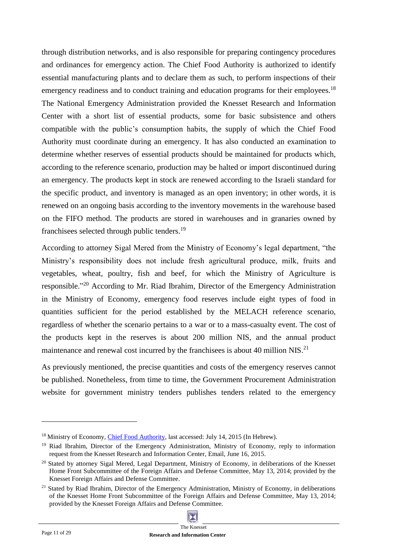through distribution networks, and is also responsible for preparing contingency procedures and ordinances for emergency action. The Chief Food Authority is authorized to identify essential manufacturing plants and to declare them as such, to perform inspections of their emergency readiness and to conduct training and education programs for their employees.<sup>18</sup> The National Emergency Administration provided the Knesset Research and Information Center with a short list of essential products, some for basic subsistence and others compatible with the public's consumption habits, the supply of which the Chief Food Authority must coordinate during an emergency. It has also conducted an examination to determine whether reserves of essential products should be maintained for products which, according to the reference scenario, production may be halted or import discontinued during an emergency. The products kept in stock are renewed according to the Israeli standard for the specific product, and inventory is managed as an open inventory; in other words, it is renewed on an ongoing basis according to the inventory movements in the warehouse based on the FIFO method. The products are stored in warehouses and in granaries owned by franchisees selected through public tenders.<sup>19</sup>

According to attorney Sigal Mered from the Ministry of Economy's legal department, "the Ministry's responsibility does not include fresh agricultural produce, milk, fruits and vegetables, wheat, poultry, fish and beef, for which the Ministry of Agriculture is responsible."<sup>20</sup> According to Mr. Riad Ibrahim, Director of the Emergency Administration in the Ministry of Economy, emergency food reserves include eight types of food in quantities sufficient for the period established by the MELACH reference scenario, regardless of whether the scenario pertains to a war or to a mass-casualty event. The cost of the products kept in the reserves is about 200 million NIS, and the annual product maintenance and renewal cost incurred by the franchisees is about 40 million NIS.<sup>21</sup>

As previously mentioned, the precise quantities and costs of the emergency reserves cannot be published. Nonetheless, from time to time, the Government Procurement Administration website for government ministry tenders publishes tenders related to the emergency

<sup>&</sup>lt;sup>18</sup> Ministry of Economy, *Chief Food Authority*, last accessed: July 14, 2015 (In Hebrew).

<sup>&</sup>lt;sup>19</sup> Riad Ibrahim, Director of the Emergency Administration, Ministry of Economy, reply to information request from the Knesset Research and Information Center, Email, June 16, 2015.

<sup>&</sup>lt;sup>20</sup> Stated by attorney Sigal Mered, Legal Department, Ministry of Economy, in deliberations of the Knesset Home Front Subcommittee of the Foreign Affairs and Defense Committee, May 13, 2014; provided by the Knesset Foreign Affairs and Defense Committee.

<sup>&</sup>lt;sup>21</sup> Stated by Riad Ibrahim, Director of the Emergency Administration, Ministry of Economy, in deliberations of the Knesset Home Front Subcommittee of the Foreign Affairs and Defense Committee, May 13, 2014; provided by the Knesset Foreign Affairs and Defense Committee.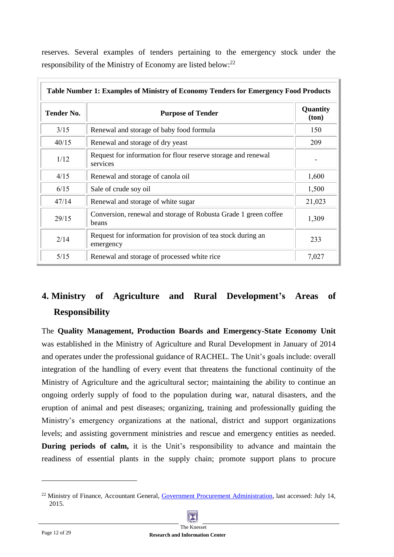| Table Number 1: Examples of Ministry of Economy Tenders for Emergency Food Products |                                                                           |                   |  |  |
|-------------------------------------------------------------------------------------|---------------------------------------------------------------------------|-------------------|--|--|
| <b>Tender No.</b>                                                                   | <b>Purpose of Tender</b>                                                  | Quantity<br>(ton) |  |  |
| 3/15                                                                                | Renewal and storage of baby food formula                                  | 150               |  |  |
| 40/15                                                                               | Renewal and storage of dry yeast                                          | 209               |  |  |
| 1/12                                                                                | Request for information for flour reserve storage and renewal<br>services |                   |  |  |
| 4/15                                                                                | Renewal and storage of canola oil                                         | 1,600             |  |  |
| 6/15                                                                                | Sale of crude soy oil                                                     | 1,500             |  |  |
| 47/14                                                                               | Renewal and storage of white sugar                                        | 21,023            |  |  |
| 29/15                                                                               | Conversion, renewal and storage of Robusta Grade 1 green coffee<br>beans  | 1,309             |  |  |
| 2/14                                                                                | Request for information for provision of tea stock during an<br>emergency | 233               |  |  |
| 5/15                                                                                | Renewal and storage of processed white rice                               | 7,027             |  |  |

reserves. Several examples of tenders pertaining to the emergency stock under the responsibility of the Ministry of Economy are listed below:<sup>22</sup>

## <span id="page-11-0"></span>**4. Ministry of Agriculture and Rural Development's Areas of Responsibility**

The **Quality Management, Production Boards and Emergency-State Economy Unit** was established in the Ministry of Agriculture and Rural Development in January of 2014 and operates under the professional guidance of RACHEL. The Unit's goals include: overall integration of the handling of every event that threatens the functional continuity of the Ministry of Agriculture and the agricultural sector; maintaining the ability to continue an ongoing orderly supply of food to the population during war, natural disasters, and the eruption of animal and pest diseases; organizing, training and professionally guiding the Ministry's emergency organizations at the national, district and support organizations levels; and assisting government ministries and rescue and emergency entities as needed. **During periods of calm,** it is the Unit's responsibility to advance and maintain the readiness of essential plants in the supply chain; promote support plans to procure

<sup>&</sup>lt;sup>22</sup> Ministry of Finance, Accountant General, [Government Procurement Administration,](http://www.mr.gov.il/Pages/HomePage.aspx) last accessed: July 14, 2015.

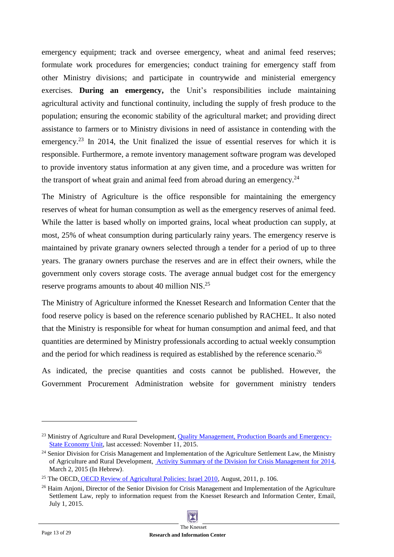emergency equipment; track and oversee emergency, wheat and animal feed reserves; formulate work procedures for emergencies; conduct training for emergency staff from other Ministry divisions; and participate in countrywide and ministerial emergency exercises. **During an emergency,** the Unit's responsibilities include maintaining agricultural activity and functional continuity, including the supply of fresh produce to the population; ensuring the economic stability of the agricultural market; and providing direct assistance to farmers or to Ministry divisions in need of assistance in contending with the emergency.<sup>23</sup> In 2014, the Unit finalized the issue of essential reserves for which it is responsible. Furthermore, a remote inventory management software program was developed to provide inventory status information at any given time, and a procedure was written for the transport of wheat grain and animal feed from abroad during an emergency.<sup>24</sup>

The Ministry of Agriculture is the office responsible for maintaining the emergency reserves of wheat for human consumption as well as the emergency reserves of animal feed. While the latter is based wholly on imported grains, local wheat production can supply, at most, 25% of wheat consumption during particularly rainy years. The emergency reserve is maintained by private granary owners selected through a tender for a period of up to three years. The granary owners purchase the reserves and are in effect their owners, while the government only covers storage costs. The average annual budget cost for the emergency reserve programs amounts to about 40 million NIS.<sup>25</sup>

The Ministry of Agriculture informed the Knesset Research and Information Center that the food reserve policy is based on the reference scenario published by RACHEL. It also noted that the Ministry is responsible for wheat for human consumption and animal feed, and that quantities are determined by Ministry professionals according to actual weekly consumption and the period for which readiness is required as established by the reference scenario.<sup>26</sup>

As indicated, the precise quantities and costs cannot be published. However, the Government Procurement Administration website for government ministry tenders

<sup>&</sup>lt;sup>23</sup> Ministry of Agriculture and Rural Development[,](http://www.moag.gov.il/agri/English/Ministrys+Units/Quality+Management+Productivity+Boards+and+Emergency+Economy/default.htm) [Quality Management, Production Boards and Emergency-](http://www.moag.gov.il/agri/English/Ministrys+Units/Quality+Management+Productivity+Boards+and+Emergency+Economy/default.htm)[State Economy Unit,](http://www.moag.gov.il/agri/English/Ministrys+Units/Quality+Management+Productivity+Boards+and+Emergency+Economy/default.htm) last accessed: November 11, 2015.

 $24$  Senior Division for Crisis Management and Implementation of the Agriculture Settlement Law, the Ministry of Agriculture and Rural Development, [Activity Summary of the Division for Crisis Management for 2014,](http://www.moag.gov.il/NR/rdonlyres/5BB12D0D-E174-4A6B-942D-A4C84CA70A6D/0/סיכוםשנהכוללהערות.pdf) March 2, 2015 (In Hebrew).

<sup>&</sup>lt;sup>25</sup> The OECD, [OECD Review of Agricultural Policies: Israel 2010,](http://www.oecd-ilibrary.org/agriculture-and-food/oecd-review-of-agricultural-policies-israel-2010_9789264079397-en;jsessionid=7t2o02a42a7fn.x-oecd-live-02) August, 2011, p. 106.

<sup>&</sup>lt;sup>26</sup> Haim Anjoni, Director of the Senior Division for Crisis Management and Implementation of the Agriculture Settlement Law, reply to information request from the Knesset Research and Information Center, Email, July 1, 2015.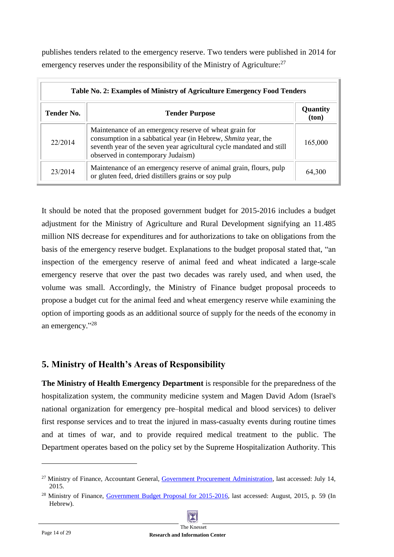publishes tenders related to the emergency reserve. Two tenders were published in 2014 for emergency reserves under the responsibility of the Ministry of Agriculture:  $27$ 

| Table No. 2: Examples of Ministry of Agriculture Emergency Food Tenders |                                                                                                                                                                                                                                      |                   |  |  |
|-------------------------------------------------------------------------|--------------------------------------------------------------------------------------------------------------------------------------------------------------------------------------------------------------------------------------|-------------------|--|--|
| <b>Tender No.</b>                                                       | <b>Tender Purpose</b>                                                                                                                                                                                                                | Quantity<br>(ton) |  |  |
| 22/2014                                                                 | Maintenance of an emergency reserve of wheat grain for<br>consumption in a sabbatical year (in Hebrew, Shmita year, the<br>seventh year of the seven year agricultural cycle mandated and still<br>observed in contemporary Judaism) | 165,000           |  |  |
| 23/2014                                                                 | Maintenance of an emergency reserve of animal grain, flours, pulp<br>or gluten feed, dried distillers grains or soy pulp                                                                                                             | 64,300            |  |  |

It should be noted that the proposed government budget for 2015-2016 includes a budget adjustment for the Ministry of Agriculture and Rural Development signifying an 11.485 million NIS decrease for expenditures and for authorizations to take on obligations from the basis of the emergency reserve budget. Explanations to the budget proposal stated that, "an inspection of the emergency reserve of animal feed and wheat indicated a large-scale emergency reserve that over the past two decades was rarely used, and when used, the volume was small. Accordingly, the Ministry of Finance budget proposal proceeds to propose a budget cut for the animal feed and wheat emergency reserve while examining the option of importing goods as an additional source of supply for the needs of the economy in an emergency." 28

## <span id="page-13-0"></span>**5. Ministry of Health's Areas of Responsibility**

**The Ministry of Health Emergency Department** is responsible for the preparedness of the hospitalization system, the community medicine system and Magen David Adom (Israel's national organization for emergency pre–hospital medical and blood services) to deliver first response services and to treat the injured in mass-casualty events during routine times and at times of war, and to provide required medical treatment to the public. The Department operates based on the policy set by the Supreme Hospitalization Authority. This

 $^{28}$  Ministry of Finance[,](http://mof.gov.il/releases/documents/חוברת%20מחליטים%20הצעת%20התקציב%20לשנים%20201615.pdf) [Government Budget Proposal for 2015-2016,](http://mof.gov.il/releases/documents/חוברת%20מחליטים%20הצעת%20התקציב%20לשנים%20201615.pdf) last accessed: August, 2015, p. 59 (In Hebrew).



<sup>&</sup>lt;sup>27</sup> Ministry of Finance, Accountant General, [Government Procurement Administration,](http://www.mr.gov.il/Pages/HomePage.aspx) last accessed: July 14, 2015.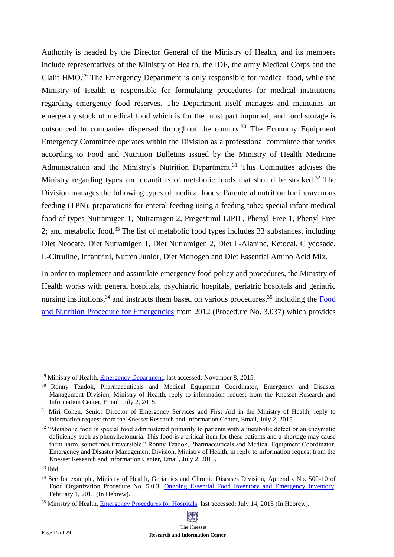Authority is headed by the Director General of the Ministry of Health, and its members include representatives of the Ministry of Health, the IDF, the army Medical Corps and the Clalit HMO. <sup>29</sup> The Emergency Department is only responsible for medical food, while the Ministry of Health is responsible for formulating procedures for medical institutions regarding emergency food reserves. The Department itself manages and maintains an emergency stock of medical food which is for the most part imported, and food storage is outsourced to companies dispersed throughout the country.<sup>30</sup> The Economy Equipment Emergency Committee operates within the Division as a professional committee that works according to Food and Nutrition Bulletins issued by the Ministry of Health Medicine Administration and the Ministry's Nutrition Department.<sup>31</sup> This Committee advises the Ministry regarding types and quantities of metabolic foods that should be stocked.<sup>32</sup> The Division manages the following types of medical foods: Parenteral nutrition for intravenous feeding (TPN); preparations for enteral feeding using a feeding tube; special infant medical food of types Nutramigen 1, Nutramigen 2, Pregestimil LIPIL, Phenyl-Free 1, Phenyl-Free 2; and metabolic food.<sup>33</sup> The list of metabolic food types includes 33 substances, including Diet Neocate, Diet Nutramigen 1, Diet Nutramigen 2, Diet L-Alanine, Ketocal, Glycosade, L-Citruline, Infantrini, Nutren Junior, Diet Monogen and Diet Essential Amino Acid Mix.

In order to implement and assimilate emergency food policy and procedures, the Ministry of Health works with general hospitals, psychiatric hospitals, geriatric hospitals and geriatric nursing institutions,<sup>34</sup> and instructs them based on various procedures,<sup>35</sup> including the  $\overline{Food}$ [and Nutrition Procedure for Emergencies](http://www.health.gov.il/Subjects/emergency/preparation/DocLib/nehalim/3.037.pdf) from 2012 (Procedure No. 3.037) which provides

<sup>&</sup>lt;sup>35</sup> Ministry of Health, [Emergency Procedures for Hospitals,](http://www.health.gov.il/Subjects/emergency/preparation/Hospitals/Pages/emergency.aspx?WPID=WPQ7&PN=1) last accessed: July 14, 2015 (In Hebrew).



<sup>&</sup>lt;sup>29</sup> Ministry of Health, [Emergency Department,](http://www.health.gov.il/English/MinistryUnits/HealthDivision/ED/Pages/default.aspx) last accessed: November 8, 2015.

<sup>&</sup>lt;sup>30</sup> Ronny Tzadok, Pharmaceuticals and Medical Equipment Coordinator, Emergency and Disaster Management Division, Ministry of Health, reply to information request from the Knesset Research and Information Center, Email, July 2, 2015.

<sup>&</sup>lt;sup>31</sup> Miri Cohen, Senior Director of Emergency Services and First Aid in the Ministry of Health, reply to information request from the Knesset Research and Information Center, Email, July 2, 2015.

<sup>&</sup>lt;sup>32</sup> "Metabolic food is special food administered primarily to patients with a metabolic defect or an enzymatic deficiency such as phenylketonuria. This food is a critical item for these patients and a shortage may cause them harm, sometimes irreversible." Ronny Tzadok, Pharmaceuticals and Medical Equipment Coordinator, Emergency and Disaster Management Division, Ministry of Health, in reply to information request from the Knesset Research and Information Center, Email, July 2, 2015.

 $33$  Ibid.

<sup>&</sup>lt;sup>34</sup> See for example, Ministry of Health, Geriatrics and Chronic Diseases Division, Appendix No. 500-10 of Food Organization Procedure No. 5.0.3, [Ongoing Essential Food Inventory and](http://www.health.gov.il/download/ng/N500-10.pdf) Emergency Inventory, February 1, 2015 (In Hebrew).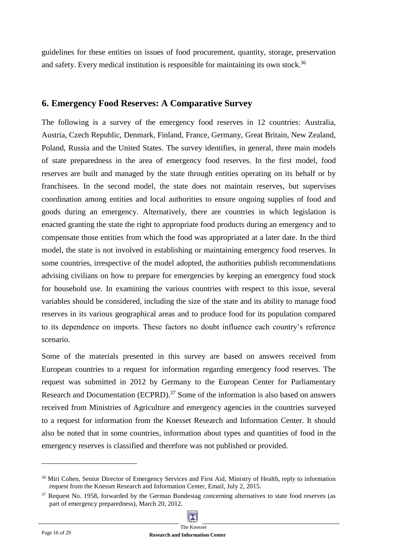guidelines for these entities on issues of food procurement, quantity, storage, preservation and safety. Every medical institution is responsible for maintaining its own stock.<sup>36</sup>

## <span id="page-15-0"></span>**6. Emergency Food Reserves: A Comparative Survey**

The following is a survey of the emergency food reserves in 12 countries: Australia, Austria, Czech Republic, Denmark, Finland, France, Germany, Great Britain, New Zealand, Poland, Russia and the United States. The survey identifies, in general, three main models of state preparedness in the area of emergency food reserves. In the first model, food reserves are built and managed by the state through entities operating on its behalf or by franchisees. In the second model, the state does not maintain reserves, but supervises coordination among entities and local authorities to ensure ongoing supplies of food and goods during an emergency. Alternatively, there are countries in which legislation is enacted granting the state the right to appropriate food products during an emergency and to compensate those entities from which the food was appropriated at a later date. In the third model, the state is not involved in establishing or maintaining emergency food reserves. In some countries, irrespective of the model adopted, the authorities publish recommendations advising civilians on how to prepare for emergencies by keeping an emergency food stock for household use. In examining the various countries with respect to this issue, several variables should be considered, including the size of the state and its ability to manage food reserves in its various geographical areas and to produce food for its population compared to its dependence on imports. These factors no doubt influence each country's reference scenario.

Some of the materials presented in this survey are based on answers received from European countries to a request for information regarding emergency food reserves. The request was submitted in 2012 by Germany to the European Center for Parliamentary Research and Documentation (ECPRD).<sup>37</sup> Some of the information is also based on answers received from Ministries of Agriculture and emergency agencies in the countries surveyed to a request for information from the Knesset Research and Information Center. It should also be noted that in some countries, information about types and quantities of food in the emergency reserves is classified and therefore was not published or provided.

<sup>&</sup>lt;sup>37</sup> Request No. 1958, forwarded by the German Bundestag concerning alternatives to state food reserves (as part of emergency preparedness), March 20, 2012.



<sup>&</sup>lt;sup>36</sup> Miri Cohen, Senior Director of Emergency Services and First Aid, Ministry of Health, reply to information request from the Knesset Research and Information Center, Email, July 2, 2015.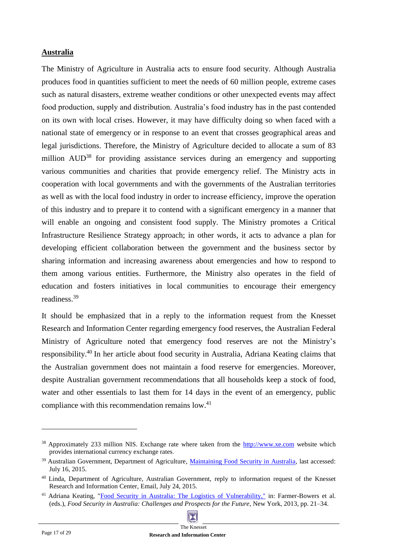#### **Australia**

The Ministry of Agriculture in Australia acts to ensure food security. Although Australia produces food in quantities sufficient to meet the needs of 60 million people, extreme cases such as natural disasters, extreme weather conditions or other unexpected events may affect food production, supply and distribution. Australia's food industry has in the past contended on its own with local crises. However, it may have difficulty doing so when faced with a national state of emergency or in response to an event that crosses geographical areas and legal jurisdictions. Therefore, the Ministry of Agriculture decided to allocate a sum of 83 million AUD<sup>38</sup> for providing assistance services during an emergency and supporting various communities and charities that provide emergency relief. The Ministry acts in cooperation with local governments and with the governments of the Australian territories as well as with the local food industry in order to increase efficiency, improve the operation of this industry and to prepare it to contend with a significant emergency in a manner that will enable an ongoing and consistent food supply. The Ministry promotes a Critical Infrastructure Resilience Strategy approach; in other words, it acts to advance a plan for developing efficient collaboration between the government and the business sector by sharing information and increasing awareness about emergencies and how to respond to them among various entities. Furthermore, the Ministry also operates in the field of education and fosters initiatives in local communities to encourage their emergency readiness. 39

It should be emphasized that in a reply to the information request from the Knesset Research and Information Center regarding emergency food reserves, the Australian Federal Ministry of Agriculture noted that emergency food reserves are not the Ministry's responsibility.<sup>40</sup> In her article about food security in Australia, Adriana Keating claims that the Australian government does not maintain a food reserve for emergencies. Moreover, despite Australian government recommendations that all households keep a stock of food, water and other essentials to last them for 14 days in the event of an emergency, public compliance with this recommendation remains low.<sup>41</sup>

<sup>&</sup>lt;sup>41</sup> Adriana Keating, ["Food Security in Australia: The Logistics of Vulnerability,](http://www.google.co.il/url?sa=t&rct=j&q=&esrc=s&frm=1&source=web&cd=1&ved=0CBwQFjAAahUKEwiEk8H5tN_GAhVIQBQKHYEdClk&url=http%3A%2F%2Fwww.springer.com%2Fcda%2Fcontent%2Fdocument%2Fcda_downloaddocument%2F9781461444831-c1.pdf%3FSGWID%3D0-0-45-1367502-p174513932&ei=j4OnVcSPDsiAUYG7qMgF&usg=AFQjCNHJcII62cXXSxZcSepkUp2mfQomgg&bvm=bv.97949915,d.d24&cad=rja)" in: Farmer-Bowers et al. (eds.), *Food Security in Australia: Challenges and Prospects for the Future*, New York, 2013, pp. 21–34.



<sup>&</sup>lt;sup>38</sup> Approximately 233 million NIS. Exchange rate where taken from the [http://www.xe.com](http://www.xe.com/) website which provides international currency exchange rates.

<sup>&</sup>lt;sup>39</sup> Australian Government, Department of Agriculture, *Maintaining Food Security in Australia*, last accessed: July 16, 2015.

<sup>&</sup>lt;sup>40</sup> Linda, Department of Agriculture, Australian Government, reply to information request of the Knesset Research and Information Center, Email, July 24, 2015.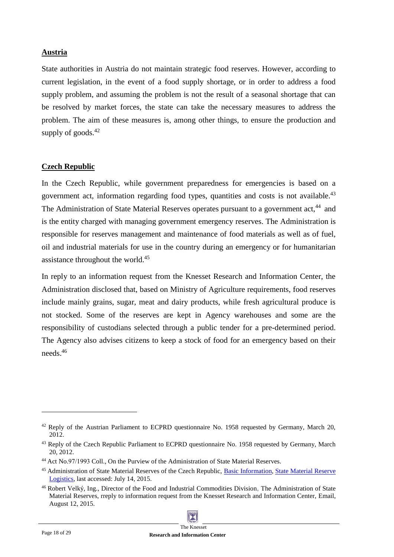#### **Austria**

State authorities in Austria do not maintain strategic food reserves. However, according to current legislation, in the event of a food supply shortage, or in order to address a food supply problem, and assuming the problem is not the result of a seasonal shortage that can be resolved by market forces, the state can take the necessary measures to address the problem. The aim of these measures is, among other things, to ensure the production and supply of goods.<sup>42</sup>

#### **Czech Republic**

In the Czech Republic, while government preparedness for emergencies is based on a government act, information regarding food types, quantities and costs is not available.<sup>43</sup> The Administration of State Material Reserves operates pursuant to a government act.<sup>44</sup> and is the entity charged with managing government emergency reserves. The Administration is responsible for reserves management and maintenance of food materials as well as of fuel, oil and industrial materials for use in the country during an emergency or for humanitarian assistance throughout the world.<sup>45</sup>

In reply to an information request from the Knesset Research and Information Center, the Administration disclosed that, based on Ministry of Agriculture requirements, food reserves include mainly grains, sugar, meat and dairy products, while fresh agricultural produce is not stocked. Some of the reserves are kept in Agency warehouses and some are the responsibility of custodians selected through a public tender for a pre-determined period. The Agency also advises citizens to keep a stock of food for an emergency based on their needs.<sup>46</sup>

 $42$  Reply of the Austrian Parliament to ECPRD questionnaire No. 1958 requested by Germany, March 20, 2012.

<sup>&</sup>lt;sup>43</sup> Reply of the Czech Republic Parliament to ECPRD questionnaire No. 1958 requested by Germany, March 20, 2012.

<sup>44</sup> Act No.97/1993 Coll., On the Purview of the Administration of State Material Reserves.

<sup>45</sup> Administration of State Material Reserves of the Czech Republic, [Basic Information,](http://www.sshr.cz/en/asmr/Pages/basic_information.aspx) [State Material Reserve](http://www.sshr.cz/en/mission/Pages/state_material_reserve_logistics.aspx)  [Logistics,](http://www.sshr.cz/en/mission/Pages/state_material_reserve_logistics.aspx) last accessed: July 14, 2015.

<sup>46</sup> Robert Velký, Ing., Director of the Food and Industrial Commodities Division, The Administration of State Material Reserves, rreply to information request from the Knesset Research and Information Center, Email, August 12, 2015.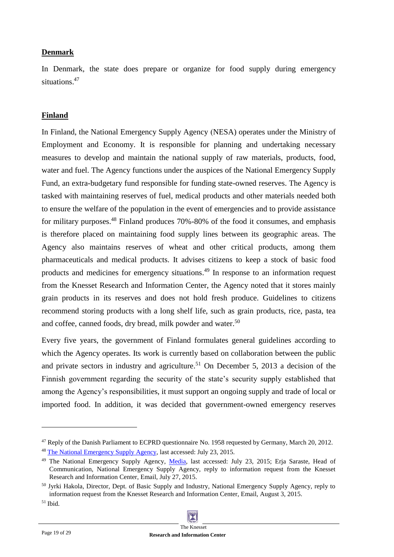#### **Denmark**

In Denmark, the state does prepare or organize for food supply during emergency situations.<sup>47</sup>

#### **Finland**

In Finland, the National Emergency Supply Agency (NESA) operates under the Ministry of Employment and Economy. It is responsible for planning and undertaking necessary measures to develop and maintain the national supply of raw materials, products, food, water and fuel. The Agency functions under the auspices of the National Emergency Supply Fund, an extra-budgetary fund responsible for funding state-owned reserves. The Agency is tasked with maintaining reserves of fuel, medical products and other materials needed both to ensure the welfare of the population in the event of emergencies and to provide assistance for military purposes.<sup>48</sup> Finland produces 70%-80% of the food it consumes, and emphasis is therefore placed on maintaining food supply lines between its geographic areas. The Agency also maintains reserves of wheat and other critical products, among them pharmaceuticals and medical products. It advises citizens to keep a stock of basic food products and medicines for emergency situations. <sup>49</sup> In response to an information request from the Knesset Research and Information Center, the Agency noted that it stores mainly grain products in its reserves and does not hold fresh produce. Guidelines to citizens recommend storing products with a long shelf life, such as grain products, rice, pasta, tea and coffee, canned foods, dry bread, milk powder and water.<sup>50</sup>

Every five years, the government of Finland formulates general guidelines according to which the Agency operates. Its work is currently based on collaboration between the public and private sectors in industry and agriculture.<sup>51</sup> On December 5, 2013 a decision of the Finnish government regarding the security of the state's security supply established that among the Agency's responsibilities, it must support an ongoing supply and trade of local or imported food. In addition, it was decided that government-owned emergency reserves

<sup>47</sup> Reply of the Danish Parliament to ECPRD questionnaire No. 1958 requested by Germany, March 20, 2012.

<sup>4</sup>[8](http://www.nesa.fi/) [The National Emergency Supply Agency,](http://www.nesa.fi/) last accessed: July 23, 2015.

<sup>&</sup>lt;sup>49</sup> The National Emergency Supply Agency, [Media,](http://www.nesa.fi/security-of-supply/media/) last accessed: July 23, 2015; Erja Saraste, Head of Communication, National Emergency Supply Agency, reply to information request from the Knesset Research and Information Center, Email, July 27, 2015.

<sup>50</sup> Jyrki Hakola, Director, Dept. of Basic Supply and Industry, National Emergency Supply Agency, reply to information request from the Knesset Research and Information Center, Email, August 3, 2015.

<sup>51</sup> Ibid.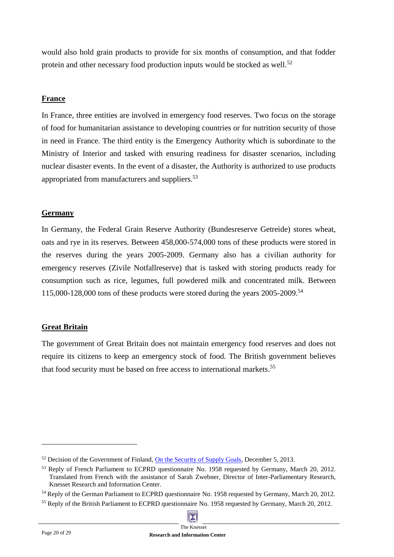would also hold grain products to provide for six months of consumption, and that fodder protein and other necessary food production inputs would be stocked as well.<sup>52</sup>

#### **France**

In France, three entities are involved in emergency food reserves. Two focus on the storage of food for humanitarian assistance to developing countries or for nutrition security of those in need in France. The third entity is the Emergency Authority which is subordinate to the Ministry of Interior and tasked with ensuring readiness for disaster scenarios, including nuclear disaster events. In the event of a disaster, the Authority is authorized to use products appropriated from manufacturers and suppliers.<sup>53</sup>

#### **Germany**

In Germany, the Federal Grain Reserve Authority (Bundesreserve Getreide) stores wheat, oats and rye in its reserves. Between 458,000-574,000 tons of these products were stored in the reserves during the years 2005-2009. Germany also has a civilian authority for emergency reserves (Zivile Notfallreserve) that is tasked with storing products ready for consumption such as rice, legumes, full powdered milk and concentrated milk. Between 115,000-128,000 tons of these products were stored during the years 2005-2009. 54

## **Great Britain**

The government of Great Britain does not maintain emergency food reserves and does not require its citizens to keep an emergency stock of food. The British government believes that food security must be based on free access to international markets. 55

<sup>55</sup> Reply of the British Parliament to ECPRD questionnaire No. 1958 requested by Germany, March 20, 2012.



<sup>&</sup>lt;sup>52</sup> Decision of the Government of Finland, [On the Security of Supply Goals,](http://www.huoltovarmuus.fi/static/pdf/758.pdf) December 5, 2013.

<sup>&</sup>lt;sup>53</sup> Reply of French Parliament to ECPRD questionnaire No. 1958 requested by Germany, March 20, 2012. Translated from French with the assistance of Sarah Zwebner, Director of Inter-Parliamentary Research, Knesset Research and Information Center.

<sup>&</sup>lt;sup>54</sup> Reply of the German Parliament to ECPRD questionnaire No. 1958 requested by Germany, March 20, 2012.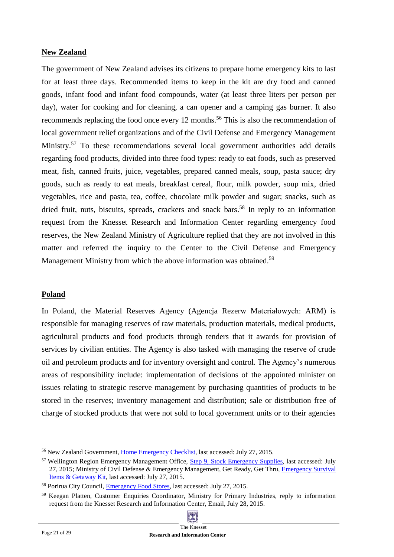#### **New Zealand**

The government of New Zealand advises its citizens to prepare home emergency kits to last for at least three days. Recommended items to keep in the kit are dry food and canned goods, infant food and infant food compounds, water (at least three liters per person per day), water for cooking and for cleaning, a can opener and a camping gas burner. It also recommends replacing the food once every 12 months.<sup>56</sup> This is also the recommendation of local government relief organizations and of the Civil Defense and Emergency Management Ministry.<sup>57</sup> To these recommendations several local government authorities add details regarding food products, divided into three food types: ready to eat foods, such as preserved meat, fish, canned fruits, juice, vegetables, prepared canned meals, soup, pasta sauce; dry goods, such as ready to eat meals, breakfast cereal, flour, milk powder, soup mix, dried vegetables, rice and pasta, tea, coffee, chocolate milk powder and sugar; snacks, such as dried fruit, nuts, biscuits, spreads, crackers and snack bars.<sup>58</sup> In reply to an information request from the Knesset Research and Information Center regarding emergency food reserves, the New Zealand Ministry of Agriculture replied that they are not involved in this matter and referred the inquiry to the Center to the Civil Defense and Emergency Management Ministry from which the above information was obtained.<sup>59</sup>

#### **Poland**

In Poland, the Material Reserves Agency (Agencja Rezerw Materiałowych: ARM) is responsible for managing reserves of raw materials, production materials, medical products, agricultural products and food products through tenders that it awards for provision of services by civilian entities. The Agency is also tasked with managing the reserve of crude oil and petroleum products and for inventory oversight and control. The Agency's numerous areas of responsibility include: implementation of decisions of the appointed minister on issues relating to strategic reserve management by purchasing quantities of products to be stored in the reserves; inventory management and distribution; sale or distribution free of charge of stocked products that were not sold to local government units or to their agencies

<sup>56</sup> New Zealand Government[, Home Emergency Checklist,](https://www.govt.nz/browse/natural-disasters/civil-defence/home-emergency-checklist/) last accessed: July 27, 2015.

<sup>&</sup>lt;sup>57</sup> Wellington Region Emergency Management Office, Step 9, [Stock Emergency Supplies,](http://www.getprepared.org.nz/households/step9) last accessed: July 27, 2015; Ministry of Civil Defense & Emergency Management, Get Ready, Get Thru, [Emergency Survival](http://www.getthru.govt.nz/how-to-get-ready/emergency-survival-items/)  [Items & Getaway Kit,](http://www.getthru.govt.nz/how-to-get-ready/emergency-survival-items/) last accessed: July 27, 2015.

<sup>58</sup> Porirua City Council, [Emergency Food Stores,](http://www.pcc.govt.nz/A-Z-Services/Emergency-Management/It-s-Easy---Get-prepared/Emergency-Food-Stores) last accessed: July 27, 2015.

<sup>&</sup>lt;sup>59</sup> Keegan Platten, Customer Enquiries Coordinator, Ministry for Primary Industries, reply to information request from the Knesset Research and Information Center, Email, July 28, 2015.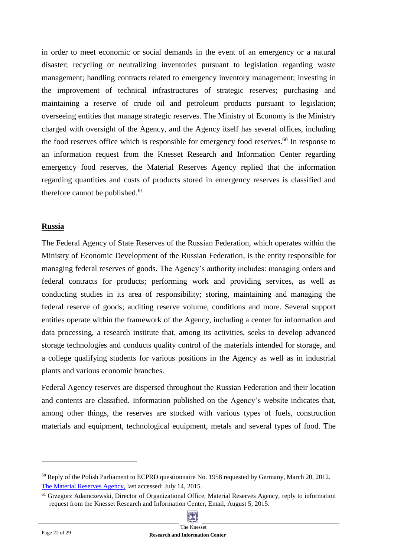in order to meet economic or social demands in the event of an emergency or a natural disaster; recycling or neutralizing inventories pursuant to legislation regarding waste management; handling contracts related to emergency inventory management; investing in the improvement of technical infrastructures of strategic reserves; purchasing and maintaining a reserve of crude oil and petroleum products pursuant to legislation; overseeing entities that manage strategic reserves. The Ministry of Economy is the Ministry charged with oversight of the Agency, and the Agency itself has several offices, including the food reserves office which is responsible for emergency food reserves.<sup>60</sup> In response to an information request from the Knesset Research and Information Center regarding emergency food reserves, the Material Reserves Agency replied that the information regarding quantities and costs of products stored in emergency reserves is classified and therefore cannot be published. 61

#### **Russia**

The Federal Agency of State Reserves of the Russian Federation, which operates within the Ministry of Economic Development of the Russian Federation, is the entity responsible for managing federal reserves of goods. The Agency's authority includes: managing orders and federal contracts for products; performing work and providing services, as well as conducting studies in its area of responsibility; storing, maintaining and managing the federal reserve of goods; auditing reserve volume, conditions and more. Several support entities operate within the framework of the Agency, including a center for information and data processing, a research institute that, among its activities, seeks to develop advanced storage technologies and conducts quality control of the materials intended for storage, and a college qualifying students for various positions in the Agency as well as in industrial plants and various economic branches.

Federal Agency reserves are dispersed throughout the Russian Federation and their location and contents are classified. Information published on the Agency's website indicates that, among other things, the reserves are stocked with various types of fuels, construction materials and equipment, technological equipment, metals and several types of food. The

<sup>&</sup>lt;sup>61</sup> Grzegorz Adamczewski, Director of Organizational Office, Material Reserves Agency, reply to information request from the Knesset Research and Information Center, Email, August 5, 2015.



 $60$  Reply of the Polish Parliament to ECPRD questionnaire No. 1958 requested by Germany, March 20, 2012. [The Material Reserves Agency,](http://eng.arm.gov.pl/index.php?dz=information) last accessed: July 14, 2015.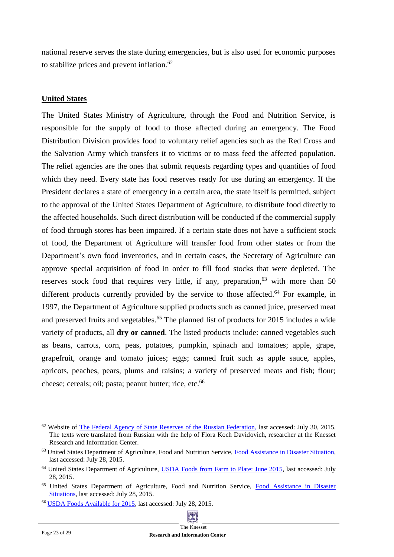national reserve serves the state during emergencies, but is also used for economic purposes to stabilize prices and prevent inflation. 62

#### **United States**

The United States Ministry of Agriculture, through the Food and Nutrition Service, is responsible for the supply of food to those affected during an emergency. The Food Distribution Division provides food to voluntary relief agencies such as the Red Cross and the Salvation Army which transfers it to victims or to mass feed the affected population. The relief agencies are the ones that submit requests regarding types and quantities of food which they need. Every state has food reserves ready for use during an emergency. If the President declares a state of emergency in a certain area, the state itself is permitted, subject to the approval of the United States Department of Agriculture, to distribute food directly to the affected households. Such direct distribution will be conducted if the commercial supply of food through stores has been impaired. If a certain state does not have a sufficient stock of food, the Department of Agriculture will transfer food from other states or from the Department's own food inventories, and in certain cases, the Secretary of Agriculture can approve special acquisition of food in order to fill food stocks that were depleted. The reserves stock food that requires very little, if any, preparation,<sup>63</sup> with more than 50 different products currently provided by the service to those affected.<sup>64</sup> For example, in 1997, the Department of Agriculture supplied products such as canned juice, preserved meat and preserved fruits and vegetables. <sup>65</sup> The planned list of products for 2015 includes a wide variety of products, all **dry or canned**. The listed products include: canned vegetables such as beans, carrots, corn, peas, potatoes, pumpkin, spinach and tomatoes; apple, grape, grapefruit, orange and tomato juices; eggs; canned fruit such as apple sauce, apples, apricots, peaches, pears, plums and raisins; a variety of preserved meats and fish; flour; cheese; cereals; oil; pasta; peanut butter; rice, etc.<sup>66</sup>

<sup>6</sup>[6](http://www.fns.usda.gov/sites/default/files/tefap/FY2015_TEFAP.pdf) [USDA Foods Available for 2015,](http://www.fns.usda.gov/sites/default/files/tefap/FY2015_TEFAP.pdf) last accessed: July 28, 2015.



<sup>62</sup> Website of [The Federal Agency of State Reserves of the Russian Federation,](http://www.rosreserv.ru/) last accessed: July 30, 2015. The texts were translated from Russian with the help of Flora Koch Davidovich, researcher at the Knesset Research and Information Center.

<sup>&</sup>lt;sup>63</sup> United States Department of Agriculture, Food and Nutrition Service, [Food Assistance in Disaster Situation,](http://www.fns.usda.gov/disaster/food-assistance-disaster-situations) last accessed: July 28, 2015.

<sup>&</sup>lt;sup>64</sup> United States Department of Agriculture, [USDA Foods from Farm to Plate: June 2015,](http://content.govdelivery.com/accounts/USFNS/bulletins/1000c1c) last accessed: July 28, 2015.

<sup>&</sup>lt;sup>65</sup> United States Department of Agriculture, Food and Nutrition Service, Food Assistance in Disaster [Situations](http://www.fns.usda.gov/disaster/food-assistance-disaster-situations), last accessed: July 28, 2015.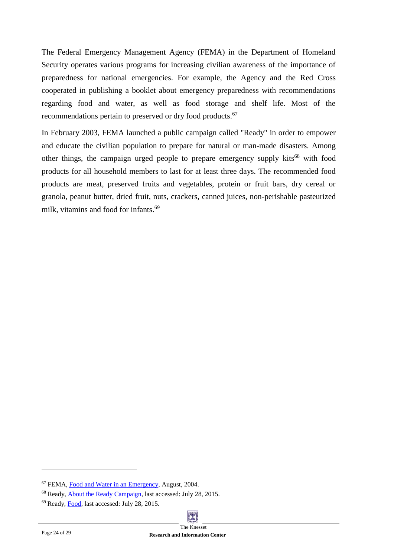The Federal Emergency Management Agency (FEMA) in the Department of Homeland Security operates various programs for increasing civilian awareness of the importance of preparedness for national emergencies. For example, the Agency and the Red Cross cooperated in publishing a booklet about emergency preparedness with recommendations regarding food and water, as well as food storage and shelf life. Most of the recommendations pertain to preserved or dry food products.<sup>67</sup>

In February 2003, FEMA launched a public campaign called "Ready" in order to empower and educate the civilian population to prepare for natural or man-made disasters. Among other things, the campaign urged people to prepare emergency supply kits<sup>68</sup> with food products for all household members to last for at least three days. The recommended food products are meat, preserved fruits and vegetables, protein or fruit bars, dry cereal or granola, peanut butter, dried fruit, nuts, crackers, canned juices, non-perishable pasteurized milk, vitamins and food for infants. 69

<sup>69</sup> Ready, [Food,](http://www.ready.gov/food) last accessed: July 28, 2015.



<sup>67</sup> FEMA[, Food and Water in an Emergency,](http://www.fema.gov/pdf/library/f%26web.pdf) August, 2004.

<sup>68</sup> Ready, [About the Ready Campaign,](http://www.ready.gov/about-us) last accessed: July 28, 2015.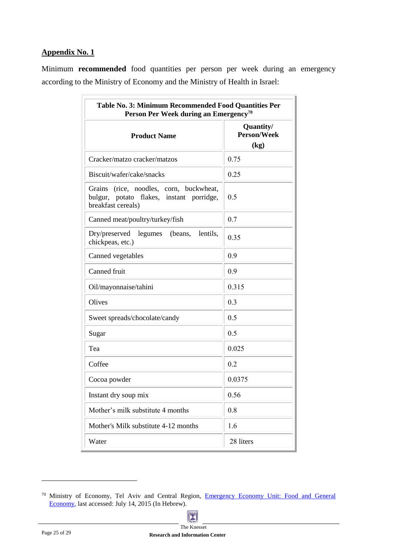#### <span id="page-24-0"></span>**Appendix No. 1**

Minimum **recommended** food quantities per person per week during an emergency according to the Ministry of Economy and the Ministry of Health in Israel:

| Table No. 3: Minimum Recommended Food Quantities Per<br>Person Per Week during an Emergency <sup>70</sup> |                                         |  |  |  |
|-----------------------------------------------------------------------------------------------------------|-----------------------------------------|--|--|--|
| <b>Product Name</b>                                                                                       | Quantity/<br><b>Person/Week</b><br>(kg) |  |  |  |
| Cracker/matzo cracker/matzos                                                                              | 0.75                                    |  |  |  |
| Biscuit/wafer/cake/snacks                                                                                 | 0.25                                    |  |  |  |
| Grains (rice, noodles, corn, buckwheat,<br>bulgur, potato flakes, instant porridge,<br>breakfast cereals) | 0.5                                     |  |  |  |
| Canned meat/poultry/turkey/fish                                                                           | 0.7                                     |  |  |  |
| Dry/preserved<br>(beans,<br>lentils,<br>legumes<br>chickpeas, etc.)                                       | 0.35                                    |  |  |  |
| Canned vegetables                                                                                         | 0.9                                     |  |  |  |
| Canned fruit                                                                                              | 0.9                                     |  |  |  |
| Oil/mayonnaise/tahini                                                                                     | 0.315                                   |  |  |  |
| Olives                                                                                                    | 0.3                                     |  |  |  |
| Sweet spreads/chocolate/candy                                                                             | 0.5                                     |  |  |  |
| Sugar                                                                                                     | 0.5                                     |  |  |  |
| Tea                                                                                                       | 0.025                                   |  |  |  |
| Coffee                                                                                                    | 0.2                                     |  |  |  |
| Cocoa powder                                                                                              | 0.0375                                  |  |  |  |
| Instant dry soup mix                                                                                      | 0.56                                    |  |  |  |
| Mother's milk substitute 4 months                                                                         | 0.8                                     |  |  |  |
| Mother's Milk substitute 4-12 months                                                                      | 1.6                                     |  |  |  |
| Water                                                                                                     | 28 liters                               |  |  |  |

<sup>&</sup>lt;sup>70</sup> Ministry of Economy[,](http://www.moital.gov.il/NR/exeres/92674A9E-E8E5-4D68-960F-ED4D13C31053.htm) Tel Aviv and Central Region, Emergency Economy Unit: Food and General [Economy,](http://www.moital.gov.il/NR/exeres/92674A9E-E8E5-4D68-960F-ED4D13C31053.htm) last accessed: July 14, 2015 (In Hebrew).

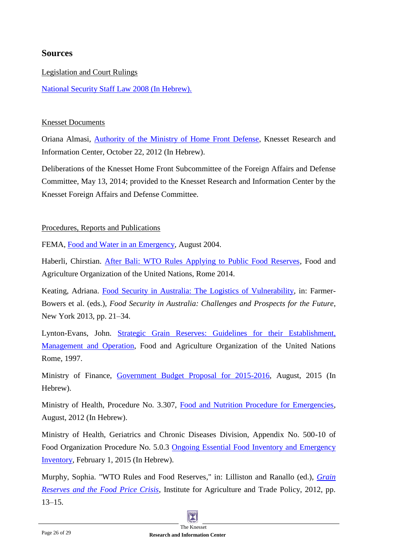## <span id="page-25-0"></span>**Sources**

## Legislation and Court Rulings

[National Security Staff Law 2008](http://www.nsc.gov.il/he/Documents/nsclaw.pdf) (In Hebrew).

## Knesset Documents

Oriana Almasi, [Authority of the Ministry of Home Front Defense,](http://www.knesset.gov.il/mmm/data/pdf/m03117.pdf) Knesset Research and Information Center, October 22, 2012 (In Hebrew).

Deliberations of the Knesset Home Front Subcommittee of the Foreign Affairs and Defense Committee, May 13, 2014; provided to the Knesset Research and Information Center by the Knesset Foreign Affairs and Defense Committee.

## Procedures, Reports and Publications

FEMA, [Food and Water in an Emergency,](http://www.fema.gov/pdf/library/f%26web.pdf) August 2004.

Haberli, Chirstian. After Bali: [WTO Rules Applying to Public Food Reserves,](http://www.fao.org/3/a-i3820e.pdf) Food and Agriculture Organization of the United Nations, Rome 2014.

Keating, Adriana. [Food Security in Australia: The Logistics of Vulnerability,](http://www.google.co.il/url?sa=t&rct=j&q=&esrc=s&frm=1&source=web&cd=1&ved=0CBwQFjAAahUKEwiEk8H5tN_GAhVIQBQKHYEdClk&url=http%3A%2F%2Fwww.springer.com%2Fcda%2Fcontent%2Fdocument%2Fcda_downloaddocument%2F9781461444831-c1.pdf%3FSGWID%3D0-0-45-1367502-p174513932&ei=j4OnVcSPDsiAUYG7qMgF&usg=AFQjCNHJcII62cXXSxZcSepkUp2mfQomgg&bvm=bv.97949915,d.d24&cad=rja) in: Farmer-Bowers et al. (eds.), *Food Security in Australia: Challenges and Prospects for the Future*, New York 2013, pp. 21–34.

Lynton-Evans, John. Strategic Grain Reserves: [Guidelines for their Establishment,](http://www.fao.org/docrep/w4979e/w4979e00.HTM)  [Management and Operation,](http://www.fao.org/docrep/w4979e/w4979e00.HTM) Food and Agriculture Organization of the United Nations Rome, 1997.

Ministry of Finance, [Government Budget Proposal for 2015-2016,](http://mof.gov.il/releases/documents/חוברת%20מחליטים%20הצעת%20התקציב%20לשנים%20201615.pdf) August, 2015 (In Hebrew).

Ministry of Health, Procedure No. 3.307, [Food and Nutrition Procedure for Emergencies,](http://www.health.gov.il/Subjects/emergency/preparation/DocLib/nehalim/3.037.pdf) August, 2012 (In Hebrew).

Ministry of Health, Geriatrics and Chronic Diseases Division, Appendix No. 500-10 of Food Organization Procedure No. 5.0.3 [Ongoing Essential Food Inventory and Emergency](http://www.health.gov.il/download/ng/N500-10.pdf)  [Inventory,](http://www.health.gov.il/download/ng/N500-10.pdf) February 1, 2015 (In Hebrew).

Murphy, Sophia. "WTO Rules and Food Reserves," in: Lilliston and Ranallo (ed.), *[Grain](http://www.iatp.org/files/2012_07_13_IATP_GrainReservesReader.pdf)  [Reserves and the Food Price Crisis](http://www.iatp.org/files/2012_07_13_IATP_GrainReservesReader.pdf)*, Institute for Agriculture and Trade Policy, 2012, pp. 13–15.

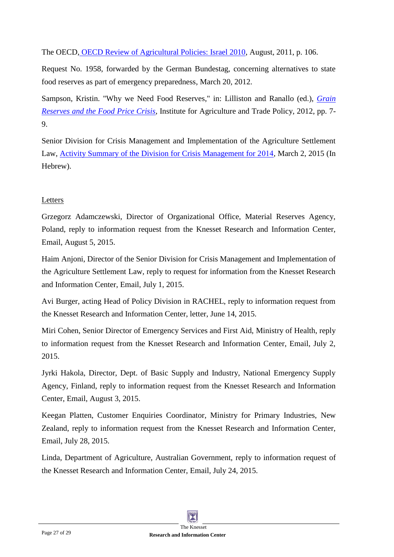The OECD, [OECD Review of Agricultural Policies: Israel 2010,](http://www.oecd-ilibrary.org/agriculture-and-food/oecd-review-of-agricultural-policies-israel-2010_9789264079397-en;jsessionid=7t2o02a42a7fn.x-oecd-live-02) August, 2011, p. 106.

Request No. 1958, forwarded by the German Bundestag, concerning alternatives to state food reserves as part of emergency preparedness, March 20, 2012.

Sampson, Kristin. "Why we Need Food Reserves," in: Lilliston and Ranallo (ed.), *[Grain](http://www.iatp.org/files/2012_07_13_IATP_GrainReservesReader.pdf)  [Reserves and the Food Price Crisis](http://www.iatp.org/files/2012_07_13_IATP_GrainReservesReader.pdf)*, Institute for Agriculture and Trade Policy, 2012, pp. 7- 9.

Senior Division for Crisis Management and Implementation of the Agriculture Settlement Law[,](http://www.moag.gov.il/NR/rdonlyres/5BB12D0D-E174-4A6B-942D-A4C84CA70A6D/0/סיכוםשנהכוללהערות.pdf) [Activity Summary of the Division for Crisis Management for 2014,](http://www.moag.gov.il/NR/rdonlyres/5BB12D0D-E174-4A6B-942D-A4C84CA70A6D/0/סיכוםשנהכוללהערות.pdf) March 2, 2015 (In Hebrew).

## Letters

Grzegorz Adamczewski, Director of Organizational Office, Material Reserves Agency, Poland, reply to information request from the Knesset Research and Information Center, Email, August 5, 2015.

Haim Anjoni, Director of the Senior Division for Crisis Management and Implementation of the Agriculture Settlement Law, reply to request for information from the Knesset Research and Information Center, Email, July 1, 2015.

Avi Burger, acting Head of Policy Division in RACHEL, reply to information request from the Knesset Research and Information Center, letter, June 14, 2015.

Miri Cohen, Senior Director of Emergency Services and First Aid, Ministry of Health, reply to information request from the Knesset Research and Information Center, Email, July 2, 2015.

Jyrki Hakola, Director, Dept. of Basic Supply and Industry, National Emergency Supply Agency, Finland, reply to information request from the Knesset Research and Information Center, Email, August 3, 2015.

Keegan Platten, Customer Enquiries Coordinator, Ministry for Primary Industries, New Zealand, reply to information request from the Knesset Research and Information Center, Email, July 28, 2015.

Linda, Department of Agriculture, Australian Government, reply to information request of the Knesset Research and Information Center, Email, July 24, 2015.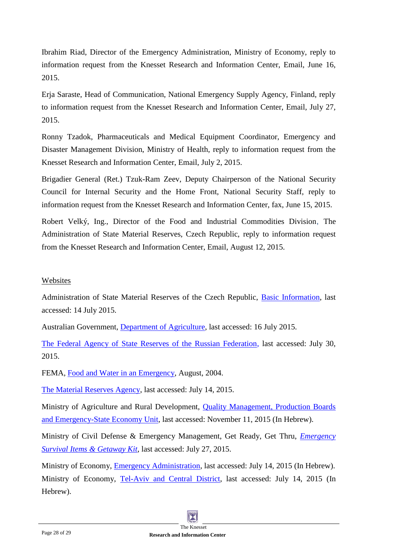Ibrahim Riad, Director of the Emergency Administration, Ministry of Economy, reply to information request from the Knesset Research and Information Center, Email, June 16, 2015.

Erja Saraste, Head of Communication, National Emergency Supply Agency, Finland, reply to information request from the Knesset Research and Information Center, Email, July 27, 2015.

Ronny Tzadok, Pharmaceuticals and Medical Equipment Coordinator, Emergency and Disaster Management Division, Ministry of Health, reply to information request from the Knesset Research and Information Center, Email, July 2, 2015.

Brigadier General (Ret.) Tzuk-Ram Zeev, Deputy Chairperson of the National Security Council for Internal Security and the Home Front, National Security Staff, reply to information request from the Knesset Research and Information Center, fax, June 15, 2015.

Robert Velký, Ing., Director of the Food and Industrial Commodities Division, The Administration of State Material Reserves, Czech Republic, reply to information request from the Knesset Research and Information Center, Email, August 12, 2015.

#### Websites

Administration of State Material Reserves of the Czech Republic, [Basic Information,](http://www.sshr.cz/en/asmr/Pages/basic_information.aspx) last accessed: 14 July 2015.

Australian Government, [Department of Agriculture,](http://www.agriculture.gov.au/ag-farm-food/food/publications/national_food_plan/white-paper/5-1-maintaining-food-security-in-australia) last accessed: 16 July 2015.

[The Federal Agency of State Reserves of the Russian Federation,](http://www.rosreserv.ru/) last accessed: July 30, 2015.

FEMA, [Food and Water in an Emergency,](http://www.fema.gov/pdf/library/f%26web.pdf) August, 2004.

[The Material Reserves Agency,](http://eng.arm.gov.pl/index.php?dz=information) last accessed: July 14, 2015.

Ministry of Agriculture and Rural Development[,](http://www.moag.gov.il/agri/English/Ministrys+Units/Quality+Management+Productivity+Boards+and+Emergency+Economy/default.htm) [Quality Management, Production Boards](http://www.moag.gov.il/agri/English/Ministrys+Units/Quality+Management+Productivity+Boards+and+Emergency+Economy/default.htm)  [and Emergency-State Economy Unit,](http://www.moag.gov.il/agri/English/Ministrys+Units/Quality+Management+Productivity+Boards+and+Emergency+Economy/default.htm) last accessed: November 11, 2015 (In Hebrew).

Ministry of Civil Defense & Emergency Management, Get Ready, Get Thru, *[Emergency](http://www.getthru.govt.nz/how-to-get-ready/emergency-survival-items/)  [Survival Items & Getaway Kit](http://www.getthru.govt.nz/how-to-get-ready/emergency-survival-items/)*, last accessed: July 27, 2015.

Ministry of Economy, [Emergency Administration,](http://www.economy.gov.il/About/Units/Pages/EmergencyDivision.aspx) last accessed: July 14, 2015 (In Hebrew). Ministry of Economy, [Tel-Aviv and Central District,](http://www.moital.gov.il/NR/exeres/118199DB-3438-49FF-A89D-CC555712851D.htm) last accessed: July 14, 2015 (In Hebrew).